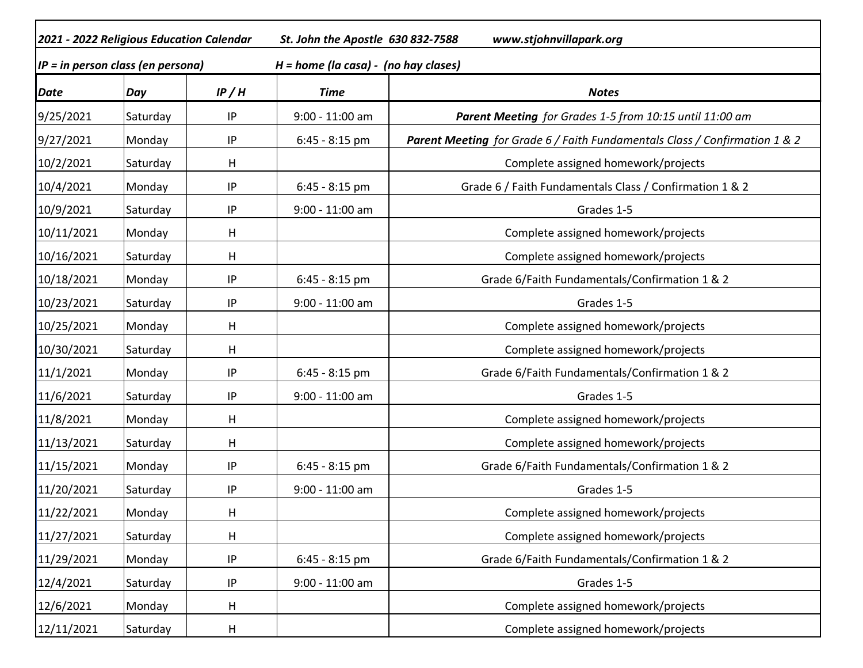| 2021 - 2022 Religious Education Calendar |          | St. John the Apostle 630 832-7588<br>www.stjohnvillapark.org |                                         |                                                                            |  |
|------------------------------------------|----------|--------------------------------------------------------------|-----------------------------------------|----------------------------------------------------------------------------|--|
| $IP = in person class (en personal)$     |          |                                                              | $H = home (la casa) - (no hay classes)$ |                                                                            |  |
| <b>Date</b>                              | Day      | IP/H                                                         | <b>Time</b>                             | <b>Notes</b>                                                               |  |
| 9/25/2021                                | Saturday | IP                                                           | 9:00 - 11:00 am                         | Parent Meeting for Grades 1-5 from 10:15 until 11:00 am                    |  |
| 9/27/2021                                | Monday   | IP                                                           | 6:45 - 8:15 pm                          | Parent Meeting for Grade 6 / Faith Fundamentals Class / Confirmation 1 & 2 |  |
| 10/2/2021                                | Saturday | н                                                            |                                         | Complete assigned homework/projects                                        |  |
| 10/4/2021                                | Monday   | IP                                                           | $6:45 - 8:15$ pm                        | Grade 6 / Faith Fundamentals Class / Confirmation 1 & 2                    |  |
| 10/9/2021                                | Saturday | IP                                                           | 9:00 - 11:00 am                         | Grades 1-5                                                                 |  |
| 10/11/2021                               | Monday   | н                                                            |                                         | Complete assigned homework/projects                                        |  |
| 10/16/2021                               | Saturday | н                                                            |                                         | Complete assigned homework/projects                                        |  |
| 10/18/2021                               | Monday   | IP                                                           | $6:45 - 8:15$ pm                        | Grade 6/Faith Fundamentals/Confirmation 1 & 2                              |  |
| 10/23/2021                               | Saturday | IP                                                           | 9:00 - 11:00 am                         | Grades 1-5                                                                 |  |
| 10/25/2021                               | Monday   | Η                                                            |                                         | Complete assigned homework/projects                                        |  |
| 10/30/2021                               | Saturday | н                                                            |                                         | Complete assigned homework/projects                                        |  |
| 11/1/2021                                | Monday   | IP                                                           | $6:45 - 8:15$ pm                        | Grade 6/Faith Fundamentals/Confirmation 1 & 2                              |  |
| 11/6/2021                                | Saturday | IP                                                           | 9:00 - 11:00 am                         | Grades 1-5                                                                 |  |
| 11/8/2021                                | Monday   | H                                                            |                                         | Complete assigned homework/projects                                        |  |
| 11/13/2021                               | Saturday | н                                                            |                                         | Complete assigned homework/projects                                        |  |
| 11/15/2021                               | Monday   | IP                                                           | 6:45 - 8:15 pm                          | Grade 6/Faith Fundamentals/Confirmation 1 & 2                              |  |
| 11/20/2021                               | Saturday | IP                                                           | 9:00 - 11:00 am                         | Grades 1-5                                                                 |  |
| 11/22/2021                               | Monday   | H                                                            |                                         | Complete assigned homework/projects                                        |  |
| 11/27/2021                               | Saturday | Н                                                            |                                         | Complete assigned homework/projects                                        |  |
| 11/29/2021                               | Monday   | IP                                                           | $6:45 - 8:15$ pm                        | Grade 6/Faith Fundamentals/Confirmation 1 & 2                              |  |
| 12/4/2021                                | Saturday | $\sf IP$                                                     | $9:00 - 11:00$ am                       | Grades 1-5                                                                 |  |
| 12/6/2021                                | Monday   | н                                                            |                                         | Complete assigned homework/projects                                        |  |
| 12/11/2021                               | Saturday | H                                                            |                                         | Complete assigned homework/projects                                        |  |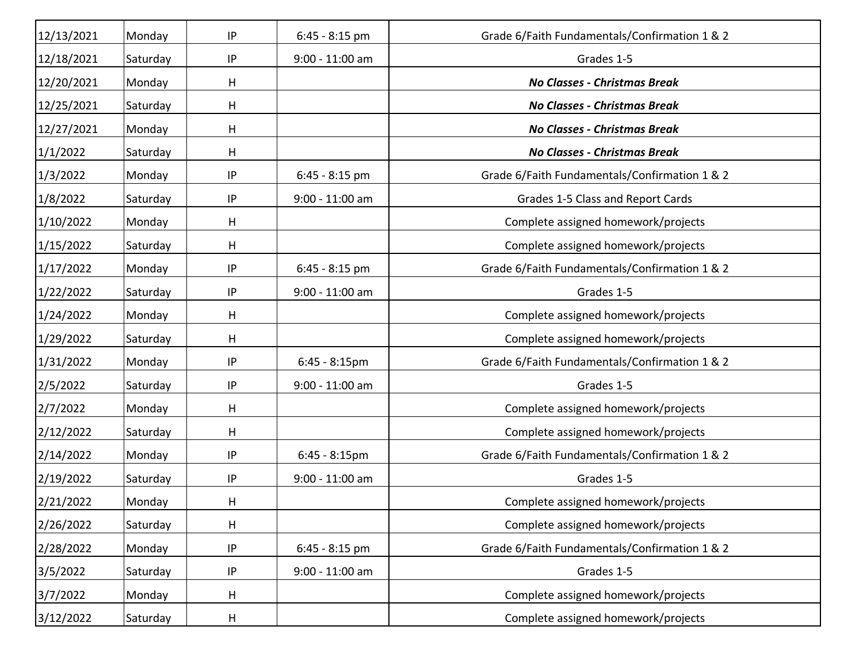| 12/13/2021 | Monday   | IP       | $6:45 - 8:15$ pm  | Grade 6/Faith Fundamentals/Confirmation 1 & 2 |
|------------|----------|----------|-------------------|-----------------------------------------------|
| 12/18/2021 | Saturday | IP       | 9:00 - 11:00 am   | Grades 1-5                                    |
| 12/20/2021 | Monday   | н        |                   | No Classes - Christmas Break                  |
| 12/25/2021 | Saturday | H        |                   | <b>No Classes - Christmas Break</b>           |
| 12/27/2021 | Monday   | н        |                   | <b>No Classes - Christmas Break</b>           |
| 1/1/2022   | Saturday | н        |                   | <b>No Classes - Christmas Break</b>           |
| 1/3/2022   | Monday   | IP       | $6:45 - 8:15$ pm  | Grade 6/Faith Fundamentals/Confirmation 1 & 2 |
| 1/8/2022   | Saturday | $\sf IP$ | $9:00 - 11:00$ am | Grades 1-5 Class and Report Cards             |
| 1/10/2022  | Monday   | H        |                   | Complete assigned homework/projects           |
| 1/15/2022  | Saturday | н        |                   | Complete assigned homework/projects           |
| 1/17/2022  | Monday   | IP       | $6:45 - 8:15$ pm  | Grade 6/Faith Fundamentals/Confirmation 1 & 2 |
| 1/22/2022  | Saturday | $\sf IP$ | $9:00 - 11:00$ am | Grades 1-5                                    |
| 1/24/2022  | Monday   | н        |                   | Complete assigned homework/projects           |
| 1/29/2022  | Saturday | н        |                   | Complete assigned homework/projects           |
| 1/31/2022  | Monday   | IP       | $6:45 - 8:15$ pm  | Grade 6/Faith Fundamentals/Confirmation 1 & 2 |
| 2/5/2022   | Saturday | IP       | 9:00 - 11:00 am   | Grades 1-5                                    |
| 2/7/2022   | Monday   | н        |                   | Complete assigned homework/projects           |
| 2/12/2022  | Saturday | H        |                   | Complete assigned homework/projects           |
| 2/14/2022  | Monday   | $\sf IP$ | $6:45 - 8:15$ pm  | Grade 6/Faith Fundamentals/Confirmation 1 & 2 |
| 2/19/2022  | Saturday | IP       | 9:00 - 11:00 am   | Grades 1-5                                    |
| 2/21/2022  | Monday   | Н        |                   | Complete assigned homework/projects           |
| 2/26/2022  | Saturday | Н        |                   | Complete assigned homework/projects           |
| 2/28/2022  | Monday   | IP       | $6:45 - 8:15$ pm  | Grade 6/Faith Fundamentals/Confirmation 1 & 2 |
| 3/5/2022   | Saturday | $\sf IP$ | $9:00 - 11:00$ am | Grades 1-5                                    |
| 3/7/2022   | Monday   | H        |                   | Complete assigned homework/projects           |
| 3/12/2022  | Saturday | H        |                   | Complete assigned homework/projects           |